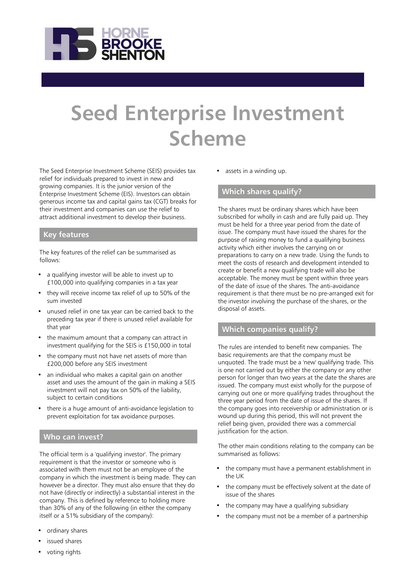

# **Seed Enterprise Investment Scheme**

The Seed Enterprise Investment Scheme (SEIS) provides tax relief for individuals prepared to invest in new and growing companies. It is the junior version of the Enterprise Investment Scheme (EIS). Investors can obtain generous income tax and capital gains tax (CGT) breaks for their investment and companies can use the relief to attract additional investment to develop their business.

#### **Key features**

The key features of the relief can be summarised as follows:

- a qualifying investor will be able to invest up to £100,000 into qualifying companies in a tax year
- they will receive income tax relief of up to 50% of the sum invested
- unused relief in one tax year can be carried back to the preceding tax year if there is unused relief available for that year
- the maximum amount that a company can attract in investment qualifying for the SEIS is £150,000 in total
- the company must not have net assets of more than £200,000 before any SEIS investment
- an individual who makes a capital gain on another asset and uses the amount of the gain in making a SEIS investment will not pay tax on 50% of the liability, subject to certain conditions
- there is a huge amount of anti-avoidance legislation to prevent exploitation for tax avoidance purposes.

#### **Who can invest?**

The official term is a 'qualifying investor'. The primary requirement is that the investor or someone who is associated with them must not be an employee of the company in which the investment is being made. They can however be a director. They must also ensure that they do not have (directly or indirectly) a substantial interest in the company. This is defined by reference to holding more than 30% of any of the following (in either the company itself or a 51% subsidiary of the company):

- ordinary shares
- issued shares
- voting rights

assets in a winding up.

#### **Which shares qualify?**

The shares must be ordinary shares which have been subscribed for wholly in cash and are fully paid up. They must be held for a three year period from the date of issue. The company must have issued the shares for the purpose of raising money to fund a qualifying business activity which either involves the carrying on or preparations to carry on a new trade. Using the funds to meet the costs of research and development intended to create or benefit a new qualifying trade will also be acceptable. The money must be spent within three years of the date of issue of the shares. The anti-avoidance requirement is that there must be no pre-arranged exit for the investor involving the purchase of the shares, or the disposal of assets.

#### **Which companies qualify?**

The rules are intended to benefit new companies. The basic requirements are that the company must be unquoted. The trade must be a 'new' qualifying trade. This is one not carried out by either the company or any other person for longer than two years at the date the shares are issued. The company must exist wholly for the purpose of carrying out one or more qualifying trades throughout the three year period from the date of issue of the shares. If the company goes into receivership or administration or is wound up during this period, this will not prevent the relief being given, provided there was a commercial justification for the action.

The other main conditions relating to the company can be summarised as follows:

- the company must have a permanent establishment in the UK
- the company must be effectively solvent at the date of issue of the shares
- the company may have a qualifying subsidiary
- the company must not be a member of a partnership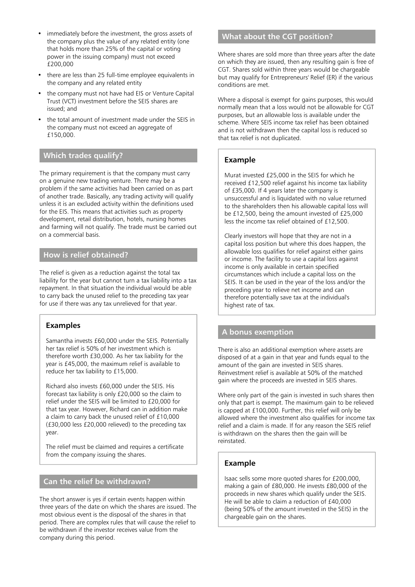- immediately before the investment, the gross assets of the company plus the value of any related entity (one that holds more than 25% of the capital or voting power in the issuing company) must not exceed £200,000
- there are less than 25 full-time employee equivalents in the company and any related entity
- the company must not have had EIS or Venture Capital Trust (VCT) investment before the SEIS shares are issued; and
- the total amount of investment made under the SEIS in the company must not exceed an aggregate of £150,000.

#### **Which trades qualify?**

The primary requirement is that the company must carry on a genuine new trading venture. There may be a problem if the same activities had been carried on as part of another trade. Basically, any trading activity will qualify unless it is an excluded activity within the definitions used for the EIS. This means that activities such as property development, retail distribution, hotels, nursing homes and farming will not qualify. The trade must be carried out on a commercial basis.

### **How is relief obtained?**

The relief is given as a reduction against the total tax liability for the year but cannot turn a tax liability into a tax repayment. In that situation the individual would be able to carry back the unused relief to the preceding tax year for use if there was any tax unrelieved for that year.

#### **Examples**

Samantha invests £60,000 under the SEIS. Potentially her tax relief is 50% of her investment which is therefore worth £30,000. As her tax liability for the year is £45,000, the maximum relief is available to reduce her tax liability to £15,000.

Richard also invests £60,000 under the SEIS. His forecast tax liability is only £20,000 so the claim to relief under the SEIS will be limited to £20,000 for that tax year. However, Richard can in addition make a claim to carry back the unused relief of £10,000 (£30,000 less £20,000 relieved) to the preceding tax year.

The relief must be claimed and requires a certificate from the company issuing the shares.

#### **Can the relief be withdrawn?**

The short answer is yes if certain events happen within three years of the date on which the shares are issued. The most obvious event is the disposal of the shares in that period. There are complex rules that will cause the relief to be withdrawn if the investor receives value from the company during this period.

## **What about the CGT position?**

Where shares are sold more than three years after the date on which they are issued, then any resulting gain is free of CGT. Shares sold within three years would be chargeable but may qualify for Entrepreneurs' Relief (ER) if the various conditions are met.

Where a disposal is exempt for gains purposes, this would normally mean that a loss would not be allowable for CGT purposes, but an allowable loss is available under the scheme. Where SEIS income tax relief has been obtained and is not withdrawn then the capital loss is reduced so that tax relief is not duplicated.

## **Example**

Murat invested £25,000 in the SEIS for which he received £12,500 relief against his income tax liability of £35,000. If 4 years later the company is unsuccessful and is liquidated with no value returned to the shareholders then his allowable capital loss will be £12,500, being the amount invested of £25,000 less the income tax relief obtained of £12,500.

Clearly investors will hope that they are not in a capital loss position but where this does happen, the allowable loss qualifies for relief against either gains or income. The facility to use a capital loss against income is only available in certain specified circumstances which include a capital loss on the SEIS. It can be used in the year of the loss and/or the preceding year to relieve net income and can therefore potentially save tax at the individual's highest rate of tax.

#### **A bonus exemption**

There is also an additional exemption where assets are disposed of at a gain in that year and funds equal to the amount of the gain are invested in SEIS shares. Reinvestment relief is available at 50% of the matched gain where the proceeds are invested in SEIS shares.

Where only part of the gain is invested in such shares then only that part is exempt. The maximum gain to be relieved is capped at £100,000. Further, this relief will only be allowed where the investment also qualifies for income tax relief and a claim is made. If for any reason the SEIS relief is withdrawn on the shares then the gain will be reinstated.

#### **Example**

Isaac sells some more quoted shares for £200,000, making a gain of £80,000. He invests £80,000 of the proceeds in new shares which qualify under the SEIS. He will be able to claim a reduction of £40,000 (being 50% of the amount invested in the SEIS) in the chargeable gain on the shares.